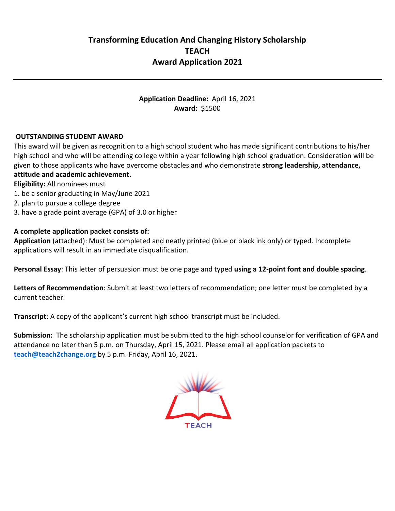**Application Deadline:** April 16, 2021 **Award:** \$1500

## **OUTSTANDING STUDENT AWARD**

This award will be given as recognition to a high school student who has made significant contributions to his/her high school and who will be attending college within a year following high school graduation. Consideration will be given to those applicants who have overcome obstacles and who demonstrate **strong leadership, attendance, attitude and academic achievement.** 

**Eligibility:** All nominees must

- 1. be a senior graduating in May/June 2021
- 2. plan to pursue a college degree
- 3. have a grade point average (GPA) of 3.0 or higher

### **A complete application packet consists of:**

**Application** (attached): Must be completed and neatly printed (blue or black ink only) or typed. Incomplete applications will result in an immediate disqualification.

**Personal Essay**: This letter of persuasion must be one page and typed **using a 12-point font and double spacing**.

**Letters of Recommendation**: Submit at least two letters of recommendation; one letter must be completed by a current teacher.

**Transcript**: A copy of the applicant's current high school transcript must be included.

**Submission:** The scholarship application must be submitted to the high school counselor for verification of GPA and attendance no later than 5 p.m. on Thursday, April 15, 2021. Please email all application packets to **[teach@teach2change.org](mailto:teach@teach2change.org)** by 5 p.m. Friday, April 16, 2021.

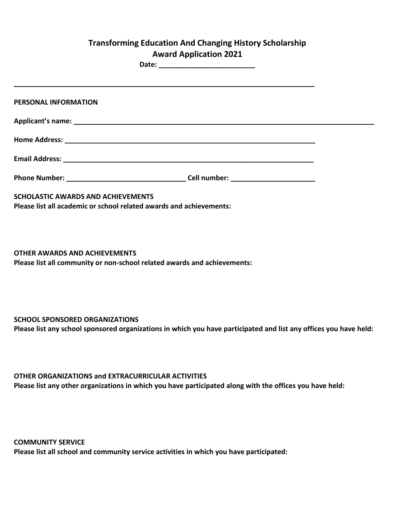# **Transforming Education And Changing History Scholarship Award Application 2021**

**Date: \_\_\_\_\_\_\_\_\_\_\_\_\_\_\_\_\_\_\_\_\_\_\_\_\_**

| PERSONAL INFORMATION                                                                                             |  |
|------------------------------------------------------------------------------------------------------------------|--|
|                                                                                                                  |  |
|                                                                                                                  |  |
|                                                                                                                  |  |
|                                                                                                                  |  |
| <b>SCHOLASTIC AWARDS AND ACHIEVEMENTS</b><br>Please list all academic or school related awards and achievements: |  |

**OTHER AWARDS AND ACHIEVEMENTS Please list all community or non-school related awards and achievements:**

**SCHOOL SPONSORED ORGANIZATIONS** 

**Please list any school sponsored organizations in which you have participated and list any offices you have held:**

**OTHER ORGANIZATIONS and EXTRACURRICULAR ACTIVITIES Please list any other organizations in which you have participated along with the offices you have held:**

**COMMUNITY SERVICE Please list all school and community service activities in which you have participated:**